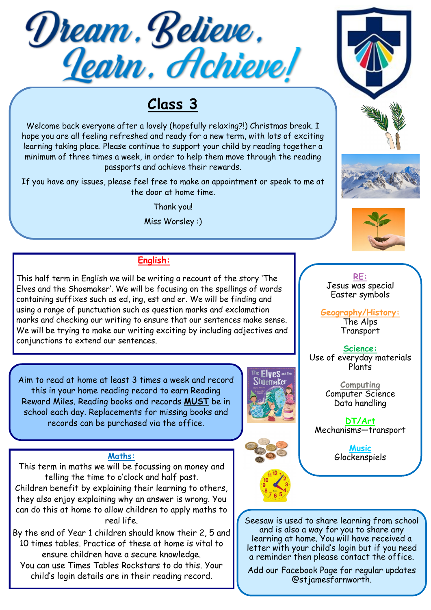

# **Class 3**

Welcome back everyone after a lovely (hopefully relaxing?!) Christmas break. I hope you are all feeling refreshed and ready for a new term, with lots of exciting learning taking place. Please continue to support your child by reading together a minimum of three times a week, in order to help them move through the reading passports and achieve their rewards.

If you have any issues, please feel free to make an appointment or speak to me at the door at home time.

Thank you!

Miss Worsley :)

### **English:**

This half term in English we will be writing a recount of the story 'The Elves and the Shoemaker'. We will be focusing on the spellings of words containing suffixes such as ed, ing, est and er. We will be finding and using a range of punctuation such as question marks and exclamation marks and checking our writing to ensure that our sentences make sense. We will be trying to make our writing exciting by including adjectives and conjunctions to extend our sentences.

Aim to read at home at least 3 times a week and record this in your home reading record to earn Reading Reward Miles. Reading books and records **MUST** be in school each day. Replacements for missing books and records can be purchased via the office.

This term in maths we will be focussing on money and telling the time to o'clock and half past. Children benefit by explaining their learning to others, they also enjoy explaining why an answer is wrong. You can do this at home to allow children to apply maths to real life.

By the end of Year 1 children should know their 2, 5 and 10 times tables. Practice of these at home is vital to ensure children have a secure knowledge. You can use Times Tables Rockstars to do this. Your

child's login details are in their reading record.









### **RE:** Jesus was special Easter symbols

**Geography/History:**  The Alps Transport

**Science:** Use of everyday materials Plants

> **Computing** Computer Science Data handling

**DT/Art** Mechanisms—transport

**Music** Maths: **Glockenspiels** 

> Seesaw is used to share learning from school and is also a way for you to share any learning at home. You will have received a letter with your child's login but if you need a reminder then please contact the office.

Add our Facebook Page for regular updates @stjamesfarnworth.